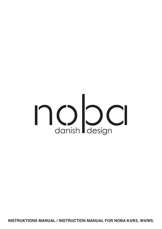

**INSTRUKTIONS MANUAL / INSTRUCTION MANUAL FOR NOBA K4/K5, W4/W5.**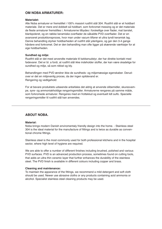# **OM NOBA ARMATURER:**

## **Materialet:**

Alle Noba armaturer er fremstillet i 100% massivt rustfrit stål 304. Rustfrit stål er et holdbart materiale. Det er mere end dobbelt så holdbart, som forkromet messing og er det materiale de fleste armaturer fremstilles i. Armaturerne tilbydes i forskellige over flader, mat børstet, blankpoleret, og en række keramiske overflader de såkaldte PVD overflader. Det er en avanceret produktionsproces, hvor man under vacum tilfører et ultra tyndt keramisk lag. Denne behandling styrker holdbarheden af rustfrit stål yderligere, og gør den 3-4 gange hårdere end forkromet. Det er den behandling man ofte ligger på skærende værktøjer for at øge holdbarheden.

## **Sundhed og miljø:**

Rustfrit stål er det mest anvendte materiale til køkkenudstyr, der har direkte kontakt med fødevarer. Det er bl. a fordi, at rustfrit stål ikke indeholder stoffer, der kan være skadelige for sundhed og miljø, så som nikkel og bly.

Behandlingen med PVD ændrer ikke de sundheds- og miljømæssige egenskaber. Derudover er det en miljøvenlig proces, da der ingen spildevand er. Rengøring og vedligehold:

For at bevare produktets udseende anbefales det aldrig at anvende slibemidler, skuresvampe, syre- og ammoniakholdige rengøringsmidler. Armaturerne rengøres på samme måde, som forkromede armaturer. Rengøres med en frotteklud og eventuelt lidt sulfo. Specielle rengøringsmidler til rustfrit stål kan anvendes.

# **ABOUT NOBA.**

## **Material:**

Noba brings modern Danish enviromentaly friendly design into the home. - Stainless steel 304 is the ideal material for the manufacture of fittings and is twice as durable as conventional chrome fittings.

Stainless steel is the most commonly used for both professional kitchens and in the hospital sector, where high level of hygiene are required.

We are able to offer a number of different finishes including brushed, polished and various PVD surfaces. PVD is an advanced production process, sometimes found on cutting tools, that adds an ultra thin ceramic layer that further enhances the durability of the stainless steel. The PVD finish is available in different colours including copper and brass.

### **Cleaning and maintenance:**

To maintain the apparance of the fittings, we recommend a mild detergent and soft cloth should be used. Newer use abrasive cloths or any products containing acid ammonia or alcohol. Specialist stainless steel cleaning products may be used.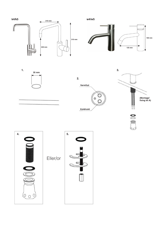